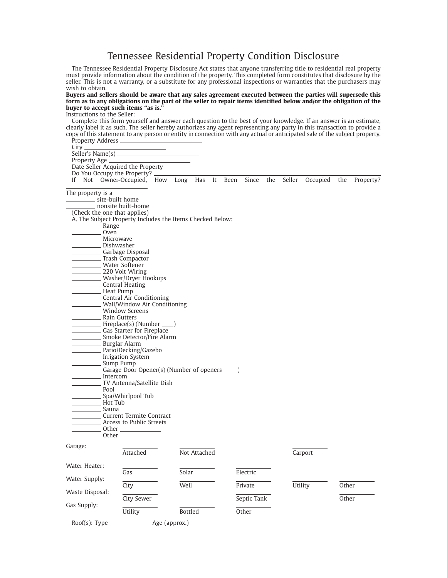## Tennessee Residential Property Condition Disclosure

The Tennessee Residential Property Disclosure Act states that anyone transferring title to residential real property must provide information about the condition of the property. This completed form constitutes that disclosure by the seller. This is not a warranty, or a substitute for any professional inspections or warranties that the purchasers may wish to obtain.

## **Buyers and sellers should be aware that any sales agreement executed between the parties will supersede this form as to any obligations on the part of the seller to repair items identified below and/or the obligation of the buyer to accept such items "as is."**

Instructions to the Seller:

Complete this form yourself and answer each question to the best of your knowledge. If an answer is an estimate, clearly label it as such. The seller hereby authorizes any agent representing any party in this transaction to provide a copy of this statement to any person or entity in connection with any actual or anticipated sale of the subject property.

Property Address City. Seller's Name(s) Property Age Date Seller Acquired the Property Do You Occupy the Property? If Not Owner-Occupied, How Long Has It Been Since the Seller Occupied the Property? The property is a site-built home nonsite built-home (Check the one that applies) A. The Subject Property Includes the Items Checked Below: Range Oven<sub>p</sub> Microwave Dishwasher Garbage Disposal Trash Compactor Water Softener 220 Volt Wiring Washer/Dryer Hookups Central Heating Heat Pump Central Air Conditioning Wall/Window Air Conditioning Window Screens Rain Gutters Fireplace(s) (Number \_\_ Gas Starter for Fireplace Smoke Detector/Fire Alarm Burglar Alarm Patio/Decking/Gazebo Irrigation System Sump Pump Garage Door Opener(s) (Number of openers \_\_\_\_ ) Intercom TV Antenna/Satellite Dish Pool Spa/Whirlpool Tub Hot Tub Sauna Current Termite Contract Access to Public Streets Other **Other** Garage: Attached Not Attached Carport Water Heater: Gas Solar Electric Water Supply: City Well Private Utility Other Waste Disposal: City Sewer Septic Tank City Sewer City Septial Septial Septial Septial City Sewer Gas Supply: Utility Bottled Other Roof(s): Type Age (approx.)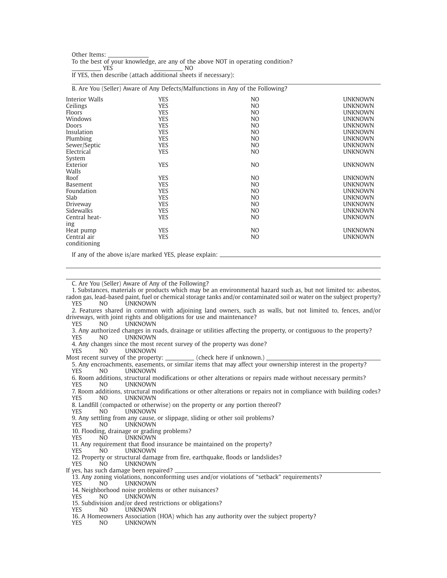| Other Items:                                                                    |     |  |  |
|---------------------------------------------------------------------------------|-----|--|--|
| To the best of your knowledge, are any of the above NOT in operating condition? |     |  |  |
| YES                                                                             | NO. |  |  |

If YES, then describe (attach additional sheets if necessary):

|                       |                                                        | B. Are You (Seller) Aware of Any Defects/Malfunctions in Any of the Following? |                |
|-----------------------|--------------------------------------------------------|--------------------------------------------------------------------------------|----------------|
| <b>Interior Walls</b> | YES                                                    | NO.                                                                            | <b>UNKNOWN</b> |
| Ceilings              | <b>YES</b>                                             | N <sub>O</sub>                                                                 | <b>UNKNOWN</b> |
| <b>Floors</b>         | <b>YES</b>                                             | N <sub>O</sub>                                                                 | <b>UNKNOWN</b> |
| Windows               | <b>YES</b>                                             | N <sub>O</sub>                                                                 | <b>UNKNOWN</b> |
| Doors                 | <b>YES</b>                                             | N <sub>O</sub>                                                                 | <b>UNKNOWN</b> |
| Insulation            | <b>YES</b>                                             | N <sub>O</sub>                                                                 | <b>UNKNOWN</b> |
| Plumbing              | <b>YES</b>                                             | N <sub>O</sub>                                                                 | <b>UNKNOWN</b> |
| Sewer/Septic          | <b>YES</b>                                             | N <sub>O</sub>                                                                 | <b>UNKNOWN</b> |
| Electrical            | <b>YES</b>                                             | N <sub>O</sub>                                                                 | <b>UNKNOWN</b> |
| System                |                                                        |                                                                                |                |
| Exterior              | <b>YES</b>                                             | N <sub>O</sub>                                                                 | <b>UNKNOWN</b> |
| Walls                 |                                                        |                                                                                |                |
| Roof                  | <b>YES</b>                                             | N <sub>O</sub>                                                                 | <b>UNKNOWN</b> |
| <b>Basement</b>       | <b>YES</b>                                             | N <sub>O</sub>                                                                 | <b>UNKNOWN</b> |
| Foundation            | <b>YES</b>                                             | N <sub>O</sub>                                                                 | <b>UNKNOWN</b> |
| Slab                  | <b>YES</b>                                             | N <sub>O</sub>                                                                 | <b>UNKNOWN</b> |
| Driveway              | <b>YES</b>                                             | N <sub>O</sub>                                                                 | <b>UNKNOWN</b> |
| <b>Sidewalks</b>      | <b>YES</b>                                             | N <sub>O</sub>                                                                 | <b>UNKNOWN</b> |
| Central heat-         | <b>YES</b>                                             | N <sub>O</sub>                                                                 | <b>UNKNOWN</b> |
| ing                   |                                                        |                                                                                |                |
| Heat pump             | <b>YES</b>                                             | N <sub>O</sub>                                                                 | <b>UNKNOWN</b> |
| Central air           | <b>YES</b>                                             | N <sub>O</sub>                                                                 | <b>UNKNOWN</b> |
| conditioning          |                                                        |                                                                                |                |
|                       | If any of the above is/are marked YES, please explain: |                                                                                |                |

C. Are You (Seller) Aware of Any of the Following?

1. Substances, materials or products which may be an environmental hazard such as, but not limited to: asbestos, radon gas, lead-based paint, fuel or chemical storage tanks and/or contaminated soil or water on the subject property? YES NO UNKNOWN 2. Features shared in common with adjoining land owners, such as walls, but not limited to, fences, and/or driveways, with joint rights and obligations for use and maintenance?<br>
YES MO UNKNOWN **UNKNOWN** 3. Any authorized changes in roads, drainage or utilities affecting the property, or contiguous to the property? **UNKNOWN** 4. Any changes since the most recent survey of the property was done?<br>YES MO UNKNOWN **UNKNOWN** Most recent survey of the property: \_\_\_\_\_\_\_\_\_\_ (check here if unknown.) 5. Any encroachments, easements, or similar items that may affect your ownership interest in the property? YES NO UNKNOWN 6. Room additions, structural modifications or other alterations or repairs made without necessary permits? YES NO UNKNOWN 7. Room additions, structural modifications or other alterations or repairs not in compliance with building codes? YES NO UNKNOWN 8. Landfill (compacted or otherwise) on the property or any portion thereof? YES NO UNKNOWN 9. Any settling from any cause, or slippage, sliding or other soil problems?<br>YES MO UNKNOWN **UNKNOWN** 10. Flooding, drainage or grading problems?<br>YES NO UNKNOWN **UNKNOWN** 11. Any requirement that flood insurance be maintained on the property?<br>YES MO UNKNOWN NO UNKNOWN 12. Property or structural damage from fire, earthquake, floods or landslides? YES NO UNKNOWN If yes, has such damage been repaired? 13. Any zoning violations, nonconforming uses and/or violations of "setback" requirements? YES NO UNKNOWN 14. Neighborhood noise problems or other nuisances?<br>YES NO UNKNOWN **UNKNOWN** 15. Subdivision and/or deed restrictions or obligations?<br>YES NO UNKNOWN YES NO UNKNOWN 16. A Homeowners Association (HOA) which has any authority over the subject property?<br>YES MO UNKNOWN **I INKNOWN**